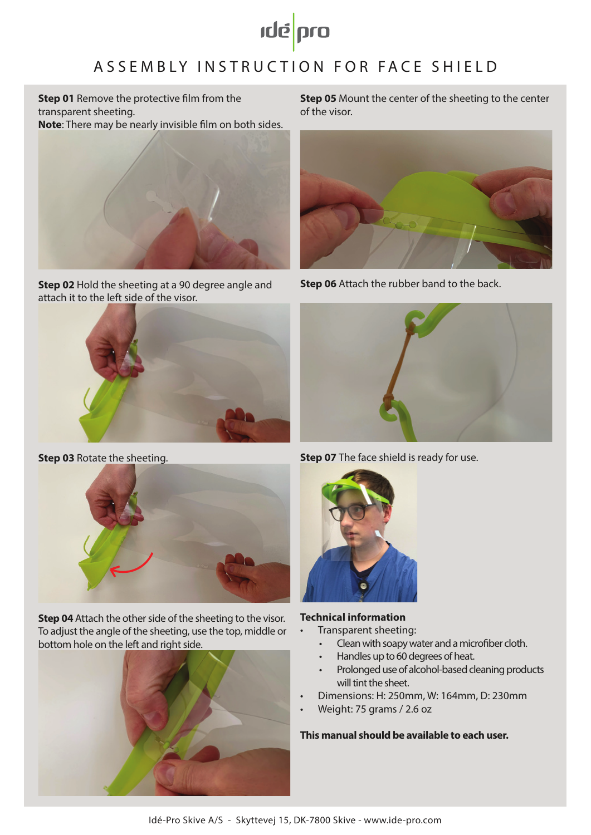

# ASSEMBLY INSTRUC TION FOR FACE SHIELD

**Step 01** Remove the protective film from the transparent sheeting. **Note**: There may be nearly invisible film on both sides.



**Step 02** Hold the sheeting at a 90 degree angle and attach it to the left side of the visor.



**Step 03** Rotate the sheeting.



**Step 04** Attach the other side of the sheeting to the visor. To adjust the angle of the sheeting, use the top, middle or bottom hole on the left and right side.



**Step 05** Mount the center of the sheeting to the center of the visor.



**Step 06** Attach the rubber band to the back.



**Step 07** The face shield is ready for use.



# **Technical information**

- Transparent sheeting:
	- Clean with soapy water and a microfiber cloth.
	- Handles up to 60 degrees of heat.
	- Prolonged use of alcohol-based cleaning products will tint the sheet.
- Dimensions: H: 250mm, W: 164mm, D: 230mm
- Weight: 75 grams / 2.6 oz

**This manual should be available to each user.**